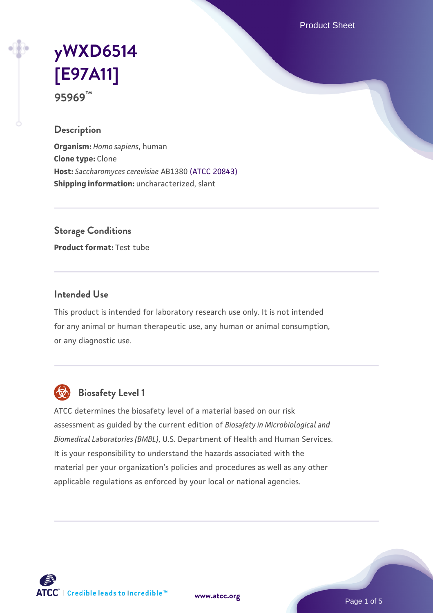Product Sheet

# **[yWXD6514](https://www.atcc.org/products/95969) [\[E97A11\]](https://www.atcc.org/products/95969) 95969™**

### **Description**

**Organism:** *Homo sapiens*, human **Clone type:** Clone **Host:** *Saccharomyces cerevisiae* AB1380 [\(ATCC 20843\)](https://www.atcc.org/products/20843) **Shipping information:** uncharacterized, slant

**Storage Conditions**

**Product format:** Test tube

#### **Intended Use**

This product is intended for laboratory research use only. It is not intended for any animal or human therapeutic use, any human or animal consumption, or any diagnostic use.



## **Biosafety Level 1**

ATCC determines the biosafety level of a material based on our risk assessment as guided by the current edition of *Biosafety in Microbiological and Biomedical Laboratories (BMBL)*, U.S. Department of Health and Human Services. It is your responsibility to understand the hazards associated with the material per your organization's policies and procedures as well as any other applicable regulations as enforced by your local or national agencies.

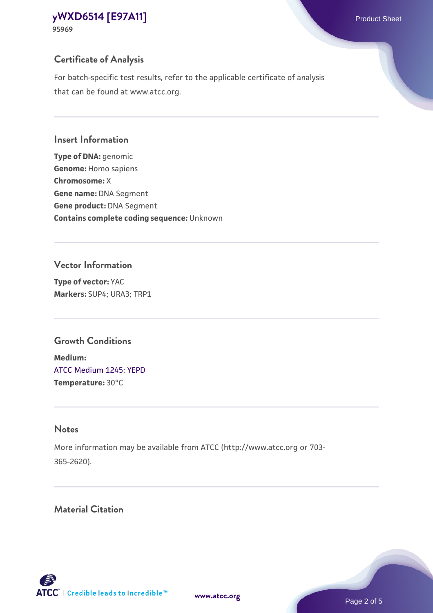## **Certificate of Analysis**

For batch-specific test results, refer to the applicable certificate of analysis that can be found at www.atcc.org.

#### **Insert Information**

**Type of DNA:** genomic **Genome:** Homo sapiens **Chromosome:** X **Gene name:** DNA Segment **Gene product:** DNA Segment **Contains complete coding sequence:** Unknown

#### **Vector Information**

**Type of vector:** YAC **Markers:** SUP4; URA3; TRP1

### **Growth Conditions**

**Medium:**  [ATCC Medium 1245: YEPD](https://www.atcc.org/-/media/product-assets/documents/microbial-media-formulations/1/2/4/5/atcc-medium-1245.pdf?rev=705ca55d1b6f490a808a965d5c072196) **Temperature:** 30°C

## **Notes**

More information may be available from ATCC (http://www.atcc.org or 703- 365-2620).

## **Material Citation**

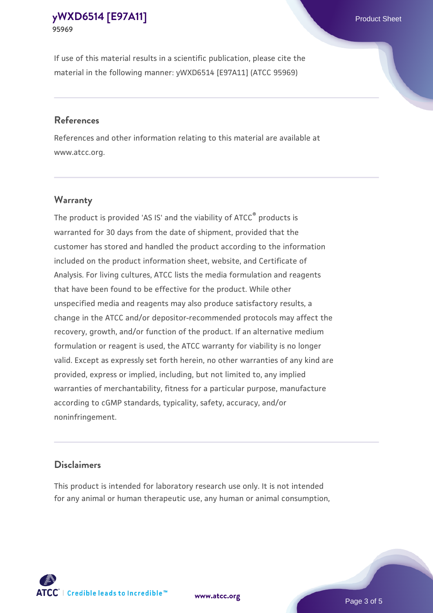If use of this material results in a scientific publication, please cite the material in the following manner: yWXD6514 [E97A11] (ATCC 95969)

#### **References**

References and other information relating to this material are available at www.atcc.org.

### **Warranty**

The product is provided 'AS IS' and the viability of  $ATCC<sup>®</sup>$  products is warranted for 30 days from the date of shipment, provided that the customer has stored and handled the product according to the information included on the product information sheet, website, and Certificate of Analysis. For living cultures, ATCC lists the media formulation and reagents that have been found to be effective for the product. While other unspecified media and reagents may also produce satisfactory results, a change in the ATCC and/or depositor-recommended protocols may affect the recovery, growth, and/or function of the product. If an alternative medium formulation or reagent is used, the ATCC warranty for viability is no longer valid. Except as expressly set forth herein, no other warranties of any kind are provided, express or implied, including, but not limited to, any implied warranties of merchantability, fitness for a particular purpose, manufacture according to cGMP standards, typicality, safety, accuracy, and/or noninfringement.

#### **Disclaimers**

This product is intended for laboratory research use only. It is not intended for any animal or human therapeutic use, any human or animal consumption,



**[www.atcc.org](http://www.atcc.org)**

Page 3 of 5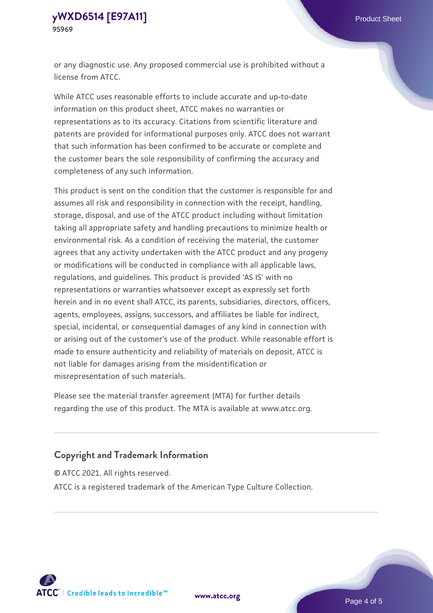or any diagnostic use. Any proposed commercial use is prohibited without a license from ATCC.

While ATCC uses reasonable efforts to include accurate and up-to-date information on this product sheet, ATCC makes no warranties or representations as to its accuracy. Citations from scientific literature and patents are provided for informational purposes only. ATCC does not warrant that such information has been confirmed to be accurate or complete and the customer bears the sole responsibility of confirming the accuracy and completeness of any such information.

This product is sent on the condition that the customer is responsible for and assumes all risk and responsibility in connection with the receipt, handling, storage, disposal, and use of the ATCC product including without limitation taking all appropriate safety and handling precautions to minimize health or environmental risk. As a condition of receiving the material, the customer agrees that any activity undertaken with the ATCC product and any progeny or modifications will be conducted in compliance with all applicable laws, regulations, and guidelines. This product is provided 'AS IS' with no representations or warranties whatsoever except as expressly set forth herein and in no event shall ATCC, its parents, subsidiaries, directors, officers, agents, employees, assigns, successors, and affiliates be liable for indirect, special, incidental, or consequential damages of any kind in connection with or arising out of the customer's use of the product. While reasonable effort is made to ensure authenticity and reliability of materials on deposit, ATCC is not liable for damages arising from the misidentification or misrepresentation of such materials.

Please see the material transfer agreement (MTA) for further details regarding the use of this product. The MTA is available at www.atcc.org.

### **Copyright and Trademark Information**

© ATCC 2021. All rights reserved.

ATCC is a registered trademark of the American Type Culture Collection.



**[www.atcc.org](http://www.atcc.org)**

Page 4 of 5